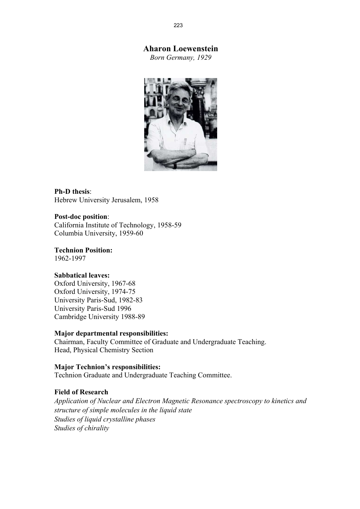# **Aharon Loewenstein**

*Born Germany, 1929* 



**Ph-D thesis**: Hebrew University Jerusalem, 1958

### **Post-doc position**:

California Institute of Technology, 1958-59 Columbia University, 1959-60

**Technion Position:**  1962-1997

## **Sabbatical leaves:**

Oxford University, 1967-68 Oxford University, 1974-75 University Paris-Sud, 1982-83 University Paris-Sud 1996 Cambridge University 1988-89

### **Major departmental responsibilities:**

Chairman, Faculty Committee of Graduate and Undergraduate Teaching. Head, Physical Chemistry Section

## **Major Technion's responsibilities:**

Technion Graduate and Undergraduate Teaching Committee.

## **Field of Research**

*Application of Nuclear and Electron Magnetic Resonance spectroscopy to kinetics and structure of simple molecules in the liquid state Studies of liquid crystalline phases Studies of chirality*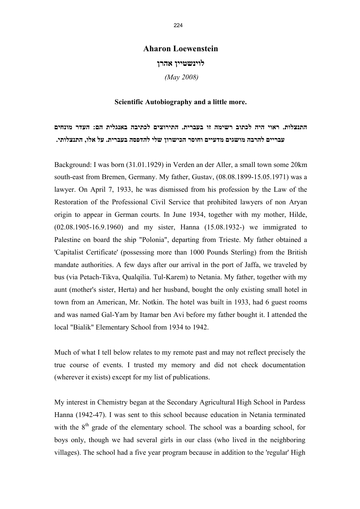## **Aharon Loewenstein**

**לוינשטיין אהרן**

 *(May 2008)* 

## **Scientific Autobiography and a little more.**

**התנצלות. ראוי היה לכתוב רשימה זו בעברית. התירוצים לכתיבה באנגלית הם: העדר מונחים עבריים להרבה מושגים מדעיים וחוסר הכישרון שלי להדפסה בעברית. על אלו, התנצלותי.** 

Background: I was born (31.01.1929) in Verden an der Aller, a small town some 20km south-east from Bremen, Germany. My father, Gustav, (08.08.1899-15.05.1971) was a lawyer. On April 7, 1933, he was dismissed from his profession by the Law of the Restoration of the Professional Civil Service that prohibited lawyers of non Aryan origin to appear in German courts. In June 1934, together with my mother, Hilde, (02.08.1905-16.9.1960) and my sister, Hanna (15.08.1932-) we immigrated to Palestine on board the ship "Polonia", departing from Trieste. My father obtained a 'Capitalist Certificate' (possessing more than 1000 Pounds Sterling) from the British mandate authorities. A few days after our arrival in the port of Jaffa, we traveled by bus (via Petach-Tikva, Qualqilia. Tul-Karem) to Netania. My father, together with my aunt (mother's sister, Herta) and her husband, bought the only existing small hotel in town from an American, Mr. Notkin. The hotel was built in 1933, had 6 guest rooms and was named Gal-Yam by Itamar ben Avi before my father bought it. I attended the local "Bialik" Elementary School from 1934 to 1942.

Much of what I tell below relates to my remote past and may not reflect precisely the true course of events. I trusted my memory and did not check documentation (wherever it exists) except for my list of publications.

My interest in Chemistry began at the Secondary Agricultural High School in Pardess Hanna (1942-47). I was sent to this school because education in Netania terminated with the  $8<sup>th</sup>$  grade of the elementary school. The school was a boarding school, for boys only, though we had several girls in our class (who lived in the neighboring villages). The school had a five year program because in addition to the 'regular' High

224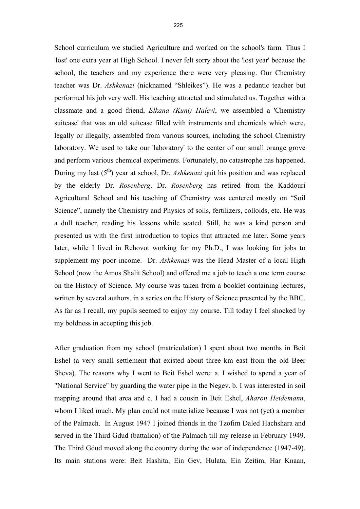School curriculum we studied Agriculture and worked on the school's farm. Thus I 'lost' one extra year at High School. I never felt sorry about the 'lost year' because the school, the teachers and my experience there were very pleasing. Our Chemistry teacher was Dr. *Ashkenazi* (nicknamed "Shleikes"). He was a pedantic teacher but performed his job very well. His teaching attracted and stimulated us. Together with a classmate and a good friend, *Elkana (Kuni) Halevi*, we assembled a 'Chemistry suitcase' that was an old suitcase filled with instruments and chemicals which were, legally or illegally, assembled from various sources, including the school Chemistry laboratory. We used to take our 'laboratory' to the center of our small orange grove and perform various chemical experiments. Fortunately, no catastrophe has happened. During my last (5<sup>th</sup>) year at school, Dr. *Ashkenazi* quit his position and was replaced by the elderly Dr. *Rosenberg*. Dr. *Rosenberg* has retired from the Kaddouri Agricultural School and his teaching of Chemistry was centered mostly on "Soil Science", namely the Chemistry and Physics of soils, fertilizers, colloids, etc. He was a dull teacher, reading his lessons while seated. Still, he was a kind person and presented us with the first introduction to topics that attracted me later. Some years later, while I lived in Rehovot working for my Ph.D., I was looking for jobs to supplement my poor income. Dr. *Ashkenazi* was the Head Master of a local High School (now the Amos Shalit School) and offered me a job to teach a one term course on the History of Science. My course was taken from a booklet containing lectures, written by several authors, in a series on the History of Science presented by the BBC. As far as I recall, my pupils seemed to enjoy my course. Till today I feel shocked by my boldness in accepting this job.

After graduation from my school (matriculation) I spent about two months in Beit Eshel (a very small settlement that existed about three km east from the old Beer Sheva). The reasons why I went to Beit Eshel were: a. I wished to spend a year of "National Service" by guarding the water pipe in the Negev. b. I was interested in soil mapping around that area and c. I had a cousin in Beit Eshel, *Aharon Heidemann*, whom I liked much. My plan could not materialize because I was not (yet) a member of the Palmach. In August 1947 I joined friends in the Tzofim Daled Hachshara and served in the Third Gdud (battalion) of the Palmach till my release in February 1949. The Third Gdud moved along the country during the war of independence (1947-49). Its main stations were: Beit Hashita, Ein Gev, Hulata, Ein Zeitim, Har Knaan,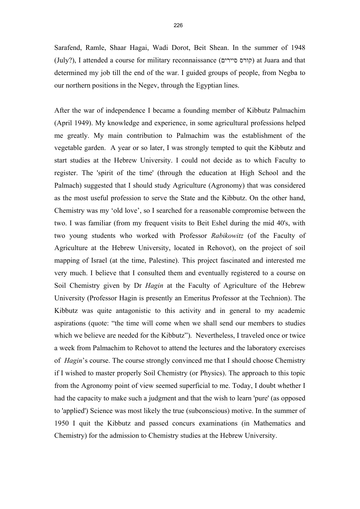Sarafend, Ramle, Shaar Hagai, Wadi Dorot, Beit Shean. In the summer of 1948 (July?), I attended a course for military reconnaissance (קורס סיירים) at Juara and that determined my job till the end of the war. I guided groups of people, from Negba to our northern positions in the Negev, through the Egyptian lines.

After the war of independence I became a founding member of Kibbutz Palmachim (April 1949). My knowledge and experience, in some agricultural professions helped me greatly. My main contribution to Palmachim was the establishment of the vegetable garden. A year or so later, I was strongly tempted to quit the Kibbutz and start studies at the Hebrew University. I could not decide as to which Faculty to register. The 'spirit of the time' (through the education at High School and the Palmach) suggested that I should study Agriculture (Agronomy) that was considered as the most useful profession to serve the State and the Kibbutz. On the other hand, Chemistry was my 'old love', so I searched for a reasonable compromise between the two. I was familiar (from my frequent visits to Beit Eshel during the mid 40's, with two young students who worked with Professor *Rabikowitz* (of the Faculty of Agriculture at the Hebrew University, located in Rehovot), on the project of soil mapping of Israel (at the time, Palestine). This project fascinated and interested me very much. I believe that I consulted them and eventually registered to a course on Soil Chemistry given by Dr *Hagin* at the Faculty of Agriculture of the Hebrew University (Professor Hagin is presently an Emeritus Professor at the Technion). The Kibbutz was quite antagonistic to this activity and in general to my academic aspirations (quote: "the time will come when we shall send our members to studies which we believe are needed for the Kibbutz"). Nevertheless, I traveled once or twice a week from Palmachim to Rehovot to attend the lectures and the laboratory exercises of *Hagin*'s course. The course strongly convinced me that I should choose Chemistry if I wished to master properly Soil Chemistry (or Physics). The approach to this topic from the Agronomy point of view seemed superficial to me. Today, I doubt whether I had the capacity to make such a judgment and that the wish to learn 'pure' (as opposed to 'applied') Science was most likely the true (subconscious) motive. In the summer of 1950 I quit the Kibbutz and passed concurs examinations (in Mathematics and Chemistry) for the admission to Chemistry studies at the Hebrew University.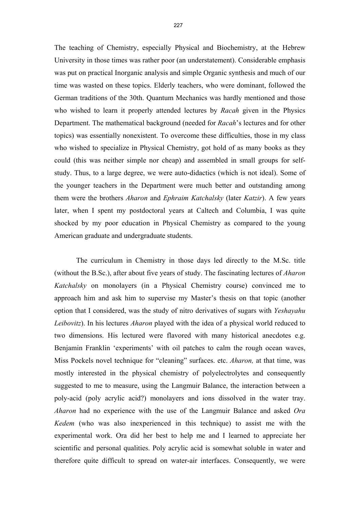The teaching of Chemistry, especially Physical and Biochemistry, at the Hebrew University in those times was rather poor (an understatement). Considerable emphasis was put on practical Inorganic analysis and simple Organic synthesis and much of our time was wasted on these topics. Elderly teachers, who were dominant, followed the German traditions of the 30th. Quantum Mechanics was hardly mentioned and those who wished to learn it properly attended lectures by *Racah* given in the Physics Department. The mathematical background (needed for *Racah*'s lectures and for other topics) was essentially nonexistent. To overcome these difficulties, those in my class who wished to specialize in Physical Chemistry, got hold of as many books as they could (this was neither simple nor cheap) and assembled in small groups for selfstudy. Thus, to a large degree, we were auto-didactics (which is not ideal). Some of the younger teachers in the Department were much better and outstanding among them were the brothers *Aharon* and *Ephraim Katchalsky* (later *Katzir*). A few years later, when I spent my postdoctoral years at Caltech and Columbia, I was quite shocked by my poor education in Physical Chemistry as compared to the young American graduate and undergraduate students.

 The curriculum in Chemistry in those days led directly to the M.Sc. title (without the B.Sc.), after about five years of study. The fascinating lectures of *Aharon Katchalsky* on monolayers (in a Physical Chemistry course) convinced me to approach him and ask him to supervise my Master's thesis on that topic (another option that I considered, was the study of nitro derivatives of sugars with *Yeshayahu Leibovitz*). In his lectures *Aharon* played with the idea of a physical world reduced to two dimensions. His lectured were flavored with many historical anecdotes e.g. Benjamin Franklin 'experiments' with oil patches to calm the rough ocean waves, Miss Pockels novel technique for "cleaning" surfaces. etc. *Aharon,* at that time, was mostly interested in the physical chemistry of polyelectrolytes and consequently suggested to me to measure, using the Langmuir Balance, the interaction between a poly-acid (poly acrylic acid?) monolayers and ions dissolved in the water tray. *Aharon* had no experience with the use of the Langmuir Balance and asked *Ora Kedem* (who was also inexperienced in this technique) to assist me with the experimental work. Ora did her best to help me and I learned to appreciate her scientific and personal qualities. Poly acrylic acid is somewhat soluble in water and therefore quite difficult to spread on water-air interfaces. Consequently, we were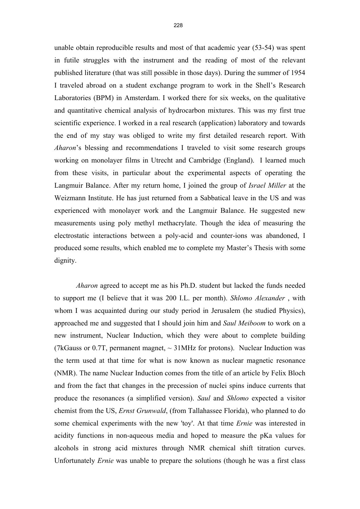unable obtain reproducible results and most of that academic year (53-54) was spent in futile struggles with the instrument and the reading of most of the relevant published literature (that was still possible in those days). During the summer of 1954 I traveled abroad on a student exchange program to work in the Shell's Research Laboratories (BPM) in Amsterdam. I worked there for six weeks, on the qualitative and quantitative chemical analysis of hydrocarbon mixtures. This was my first true scientific experience. I worked in a real research (application) laboratory and towards the end of my stay was obliged to write my first detailed research report. With *Aharon*'s blessing and recommendations I traveled to visit some research groups working on monolayer films in Utrecht and Cambridge (England). I learned much from these visits, in particular about the experimental aspects of operating the Langmuir Balance. After my return home, I joined the group of *Israel Miller* at the Weizmann Institute. He has just returned from a Sabbatical leave in the US and was experienced with monolayer work and the Langmuir Balance. He suggested new measurements using poly methyl methacrylate. Though the idea of measuring the electrostatic interactions between a poly-acid and counter-ions was abandoned, I produced some results, which enabled me to complete my Master's Thesis with some dignity.

*Aharon* agreed to accept me as his Ph.D. student but lacked the funds needed to support me (I believe that it was 200 I.L. per month). *Shlomo Alexander* , with whom I was acquainted during our study period in Jerusalem (he studied Physics), approached me and suggested that I should join him and *Saul Meiboom* to work on a new instrument, Nuclear Induction, which they were about to complete building (7kGauss or 0.7T, permanent magnet,  $\sim$  31MHz for protons). Nuclear Induction was the term used at that time for what is now known as nuclear magnetic resonance (NMR). The name Nuclear Induction comes from the title of an article by Felix Bloch and from the fact that changes in the precession of nuclei spins induce currents that produce the resonances (a simplified version). *Saul* and *Shlomo* expected a visitor chemist from the US, *Ernst Grunwald*, (from Tallahassee Florida), who planned to do some chemical experiments with the new 'toy'. At that time *Ernie* was interested in acidity functions in non-aqueous media and hoped to measure the pKa values for alcohols in strong acid mixtures through NMR chemical shift titration curves. Unfortunately *Ernie* was unable to prepare the solutions (though he was a first class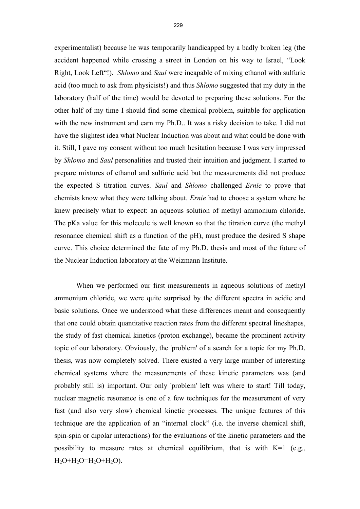experimentalist) because he was temporarily handicapped by a badly broken leg (the accident happened while crossing a street in London on his way to Israel, "Look Right, Look Left"!). *Shlomo* and *Saul* were incapable of mixing ethanol with sulfuric acid (too much to ask from physicists!) and thus *Shlomo* suggested that my duty in the laboratory (half of the time) would be devoted to preparing these solutions. For the other half of my time I should find some chemical problem, suitable for application with the new instrument and earn my Ph.D.. It was a risky decision to take. I did not have the slightest idea what Nuclear Induction was about and what could be done with it. Still, I gave my consent without too much hesitation because I was very impressed by *Shlomo* and *Saul* personalities and trusted their intuition and judgment. I started to prepare mixtures of ethanol and sulfuric acid but the measurements did not produce the expected S titration curves. *Saul* and *Shlomo* challenged *Ernie* to prove that chemists know what they were talking about. *Ernie* had to choose a system where he knew precisely what to expect: an aqueous solution of methyl ammonium chloride. The pKa value for this molecule is well known so that the titration curve (the methyl resonance chemical shift as a function of the pH), must produce the desired S shape curve. This choice determined the fate of my Ph.D. thesis and most of the future of the Nuclear Induction laboratory at the Weizmann Institute.

 When we performed our first measurements in aqueous solutions of methyl ammonium chloride, we were quite surprised by the different spectra in acidic and basic solutions. Once we understood what these differences meant and consequently that one could obtain quantitative reaction rates from the different spectral lineshapes, the study of fast chemical kinetics (proton exchange), became the prominent activity topic of our laboratory. Obviously, the 'problem' of a search for a topic for my Ph.D. thesis, was now completely solved. There existed a very large number of interesting chemical systems where the measurements of these kinetic parameters was (and probably still is) important. Our only 'problem' left was where to start! Till today, nuclear magnetic resonance is one of a few techniques for the measurement of very fast (and also very slow) chemical kinetic processes. The unique features of this technique are the application of an "internal clock" (i.e. the inverse chemical shift, spin-spin or dipolar interactions) for the evaluations of the kinetic parameters and the possibility to measure rates at chemical equilibrium, that is with K=1 (e.g.,  $H_2O+H_2O=H_2O+H_2O$ ).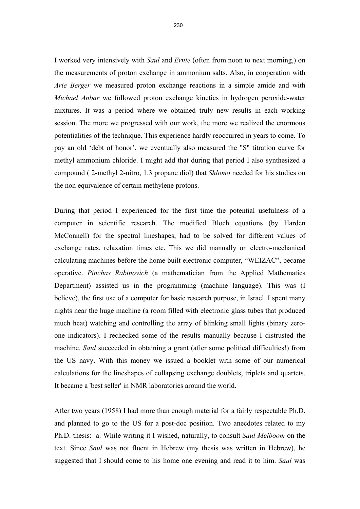230

I worked very intensively with *Saul* and *Ernie* (often from noon to next morning,) on the measurements of proton exchange in ammonium salts. Also, in cooperation with *Arie Berger* we measured proton exchange reactions in a simple amide and with *Michael Anbar* we followed proton exchange kinetics in hydrogen peroxide-water mixtures. It was a period where we obtained truly new results in each working session. The more we progressed with our work, the more we realized the enormous potentialities of the technique. This experience hardly reoccurred in years to come. To pay an old 'debt of honor', we eventually also measured the "S" titration curve for methyl ammonium chloride. I might add that during that period I also synthesized a compound ( 2-methyl 2-nitro, 1.3 propane diol) that *Shlomo* needed for his studies on the non equivalence of certain methylene protons.

During that period I experienced for the first time the potential usefulness of a computer in scientific research. The modified Bloch equations (by Harden McConnell) for the spectral lineshapes, had to be solved for different values of exchange rates, relaxation times etc. This we did manually on electro-mechanical calculating machines before the home built electronic computer, "WEIZAC", became operative. *Pinchas Rabinovich* (a mathematician from the Applied Mathematics Department) assisted us in the programming (machine language). This was (I believe), the first use of a computer for basic research purpose, in Israel. I spent many nights near the huge machine (a room filled with electronic glass tubes that produced much heat) watching and controlling the array of blinking small lights (binary zeroone indicators). I rechecked some of the results manually because I distrusted the machine. *Saul* succeeded in obtaining a grant (after some political difficulties!) from the US navy. With this money we issued a booklet with some of our numerical calculations for the lineshapes of collapsing exchange doublets, triplets and quartets. It became a 'best seller' in NMR laboratories around the world.

After two years (1958) I had more than enough material for a fairly respectable Ph.D. and planned to go to the US for a post-doc position. Two anecdotes related to my Ph.D. thesis: a. While writing it I wished, naturally, to consult *Saul Meiboom* on the text. Since *Saul* was not fluent in Hebrew (my thesis was written in Hebrew), he suggested that I should come to his home one evening and read it to him. *Saul* was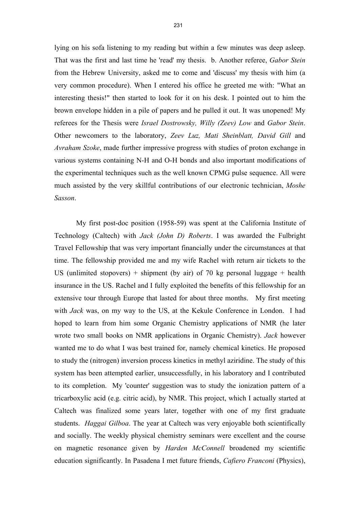lying on his sofa listening to my reading but within a few minutes was deep asleep. That was the first and last time he 'read' my thesis. b. Another referee, *Gabor Stein* from the Hebrew University, asked me to come and 'discuss' my thesis with him (a very common procedure). When I entered his office he greeted me with: "What an interesting thesis!" then started to look for it on his desk. I pointed out to him the brown envelope hidden in a pile of papers and he pulled it out. It was unopened! My referees for the Thesis were *Israel Dostrowsky, Willy (Zeev) Low* and *Gabor Stein*. Other newcomers to the laboratory, *Zeev Luz, Mati Sheinblatt, David Gill* and *Avraham Szoke*, made further impressive progress with studies of proton exchange in various systems containing N-H and O-H bonds and also important modifications of the experimental techniques such as the well known CPMG pulse sequence. All were much assisted by the very skillful contributions of our electronic technician, *Moshe Sasson*.

 My first post-doc position (1958-59) was spent at the California Institute of Technology (Caltech) with *Jack (John D) Roberts*. I was awarded the Fulbright Travel Fellowship that was very important financially under the circumstances at that time. The fellowship provided me and my wife Rachel with return air tickets to the US (unlimited stopovers) + shipment (by air) of 70 kg personal luggage + health insurance in the US. Rachel and I fully exploited the benefits of this fellowship for an extensive tour through Europe that lasted for about three months. My first meeting with *Jack* was, on my way to the US, at the Kekule Conference in London. I had hoped to learn from him some Organic Chemistry applications of NMR (he later wrote two small books on NMR applications in Organic Chemistry). *Jack* however wanted me to do what I was best trained for, namely chemical kinetics. He proposed to study the (nitrogen) inversion process kinetics in methyl aziridine. The study of this system has been attempted earlier, unsuccessfully, in his laboratory and I contributed to its completion. My 'counter' suggestion was to study the ionization pattern of a tricarboxylic acid (e.g. citric acid), by NMR. This project, which I actually started at Caltech was finalized some years later, together with one of my first graduate students. *Haggai Gilboa*. The year at Caltech was very enjoyable both scientifically and socially. The weekly physical chemistry seminars were excellent and the course on magnetic resonance given by *Harden McConnell* broadened my scientific education significantly. In Pasadena I met future friends, *Cafiero Franconi* (Physics),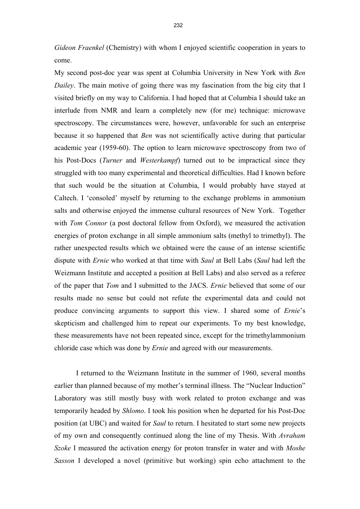*Gideon Fraenkel* (Chemistry) with whom I enjoyed scientific cooperation in years to come.

My second post-doc year was spent at Columbia University in New York with *Ben Dailey*. The main motive of going there was my fascination from the big city that I visited briefly on my way to California. I had hoped that at Columbia I should take an interlude from NMR and learn a completely new (for me) technique: microwave spectroscopy. The circumstances were, however, unfavorable for such an enterprise because it so happened that *Ben* was not scientifically active during that particular academic year (1959-60). The option to learn microwave spectroscopy from two of his Post-Docs (*Turner* and *Westerkampf*) turned out to be impractical since they struggled with too many experimental and theoretical difficulties. Had I known before that such would be the situation at Columbia, I would probably have stayed at Caltech. I 'consoled' myself by returning to the exchange problems in ammonium salts and otherwise enjoyed the immense cultural resources of New York. Together with *Tom Connor* (a post doctoral fellow from Oxford), we measured the activation energies of proton exchange in all simple ammonium salts (methyl to trimethyl). The rather unexpected results which we obtained were the cause of an intense scientific dispute with *Ernie* who worked at that time with *Saul* at Bell Labs (*Saul* had left the Weizmann Institute and accepted a position at Bell Labs) and also served as a referee of the paper that *Tom* and I submitted to the JACS. *Ernie* believed that some of our results made no sense but could not refute the experimental data and could not produce convincing arguments to support this view. I shared some of *Ernie*'s skepticism and challenged him to repeat our experiments. To my best knowledge, these measurements have not been repeated since, except for the trimethylammonium chloride case which was done by *Ernie* and agreed with our measurements.

 I returned to the Weizmann Institute in the summer of 1960, several months earlier than planned because of my mother's terminal illness. The "Nuclear Induction" Laboratory was still mostly busy with work related to proton exchange and was temporarily headed by *Shlomo*. I took his position when he departed for his Post-Doc position (at UBC) and waited for *Saul* to return. I hesitated to start some new projects of my own and consequently continued along the line of my Thesis. With *Avraham Szoke* I measured the activation energy for proton transfer in water and with *Moshe Sasson* I developed a novel (primitive but working) spin echo attachment to the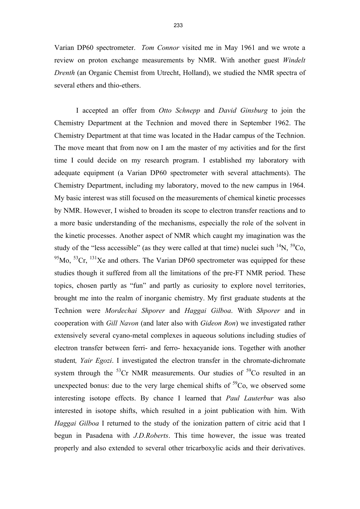Varian DP60 spectrometer. *Tom Connor* visited me in May 1961 and we wrote a review on proton exchange measurements by NMR. With another guest *Windelt Drenth* (an Organic Chemist from Utrecht, Holland), we studied the NMR spectra of several ethers and thio-ethers.

 I accepted an offer from *Otto Schnepp* and *David Ginsburg* to join the Chemistry Department at the Technion and moved there in September 1962. The Chemistry Department at that time was located in the Hadar campus of the Technion. The move meant that from now on I am the master of my activities and for the first time I could decide on my research program. I established my laboratory with adequate equipment (a Varian DP60 spectrometer with several attachments). The Chemistry Department, including my laboratory, moved to the new campus in 1964. My basic interest was still focused on the measurements of chemical kinetic processes by NMR. However, I wished to broaden its scope to electron transfer reactions and to a more basic understanding of the mechanisms, especially the role of the solvent in the kinetic processes. Another aspect of NMR which caught my imagination was the study of the "less accessible" (as they were called at that time) nuclei such  $^{14}N$ ,  $^{59}Co$ ,  $^{95}$ Mo,  $^{53}$ Cr,  $^{131}$ Xe and others. The Varian DP60 spectrometer was equipped for these studies though it suffered from all the limitations of the pre-FT NMR period. These topics, chosen partly as "fun" and partly as curiosity to explore novel territories, brought me into the realm of inorganic chemistry. My first graduate students at the Technion were *Mordechai Shporer* and *Haggai Gilboa*. With *Shporer* and in cooperation with *Gill Navon* (and later also with *Gideon Ron*) we investigated rather extensively several cyano-metal complexes in aqueous solutions including studies of electron transfer between ferri- and ferro- hexacyanide ions. Together with another student*, Yair Egozi*. I investigated the electron transfer in the chromate-dichromate system through the  ${}^{53}$ Cr NMR measurements. Our studies of  ${}^{59}$ Co resulted in an unexpected bonus: due to the very large chemical shifts of  ${}^{59}Co$ , we observed some interesting isotope effects. By chance I learned that *Paul Lauterbur* was also interested in isotope shifts, which resulted in a joint publication with him. With *Haggai Gilboa* I returned to the study of the ionization pattern of citric acid that I begun in Pasadena with *J.D.Roberts*. This time however, the issue was treated properly and also extended to several other tricarboxylic acids and their derivatives.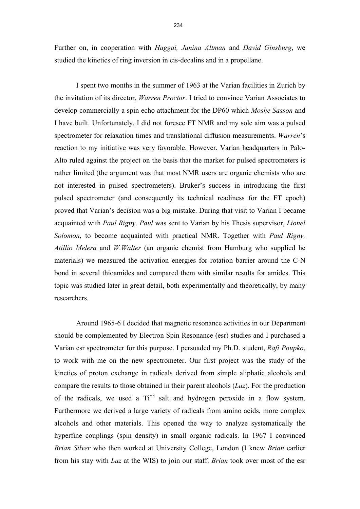Further on, in cooperation with *Haggai, Janina Altman* and *David Ginsburg*, we studied the kinetics of ring inversion in cis-decalins and in a propellane.

 I spent two months in the summer of 1963 at the Varian facilities in Zurich by the invitation of its director, *Warren Proctor*. I tried to convince Varian Associates to develop commercially a spin echo attachment for the DP60 which *Moshe Sasson* and I have built. Unfortunately, I did not foresee FT NMR and my sole aim was a pulsed spectrometer for relaxation times and translational diffusion measurements. *Warren*'s reaction to my initiative was very favorable. However, Varian headquarters in Palo-Alto ruled against the project on the basis that the market for pulsed spectrometers is rather limited (the argument was that most NMR users are organic chemists who are not interested in pulsed spectrometers). Bruker's success in introducing the first pulsed spectrometer (and consequently its technical readiness for the FT epoch) proved that Varian's decision was a big mistake. During that visit to Varian I became acquainted with *Paul Rigny*. *Paul* was sent to Varian by his Thesis supervisor, *Lionel Solomon*, to become acquainted with practical NMR. Together with *Paul Rigny, Atillio Melera* and *W.Walter* (an organic chemist from Hamburg who supplied he materials) we measured the activation energies for rotation barrier around the C-N bond in several thioamides and compared them with similar results for amides. This topic was studied later in great detail, both experimentally and theoretically, by many researchers.

 Around 1965-6 I decided that magnetic resonance activities in our Department should be complemented by Electron Spin Resonance (esr) studies and I purchased a Varian esr spectrometer for this purpose. I persuaded my Ph.D. student, *Rafi Poupko*, to work with me on the new spectrometer. Our first project was the study of the kinetics of proton exchange in radicals derived from simple aliphatic alcohols and compare the results to those obtained in their parent alcohols (*Luz*). For the production of the radicals, we used a  $Ti^{+3}$  salt and hydrogen peroxide in a flow system. Furthermore we derived a large variety of radicals from amino acids, more complex alcohols and other materials. This opened the way to analyze systematically the hyperfine couplings (spin density) in small organic radicals. In 1967 I convinced *Brian Silver* who then worked at University College, London (I knew *Brian* earlier from his stay with *Luz* at the WIS) to join our staff. *Brian* took over most of the esr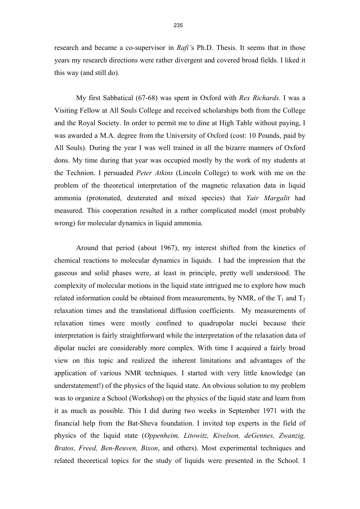research and became a co-supervisor in *Rafi'*s Ph.D. Thesis. It seems that in those years my research directions were rather divergent and covered broad fields. I liked it this way (and still do).

 My first Sabbatical (67-68) was spent in Oxford with *Rex Richards*. I was a Visiting Fellow at All Souls College and received scholarships both from the College and the Royal Society. In order to permit me to dine at High Table without paying, I was awarded a M.A. degree from the University of Oxford (cost: 10 Pounds, paid by All Souls). During the year I was well trained in all the bizarre manners of Oxford dons. My time during that year was occupied mostly by the work of my students at the Technion. I persuaded *Peter Atkins* (Lincoln College) to work with me on the problem of the theoretical interpretation of the magnetic relaxation data in liquid ammonia (protonated, deuterated and mixed species) that *Yair Margalit* had measured. This cooperation resulted in a rather complicated model (most probably wrong) for molecular dynamics in liquid ammonia.

 Around that period (about 1967), my interest shifted from the kinetics of chemical reactions to molecular dynamics in liquids. I had the impression that the gaseous and solid phases were, at least in principle, pretty well understood. The complexity of molecular motions in the liquid state intrigued me to explore how much related information could be obtained from measurements, by NMR, of the  $T_1$  and  $T_2$ relaxation times and the translational diffusion coefficients. My measurements of relaxation times were mostly confined to quadrupolar nuclei because their interpretation is fairly straightforward while the interpretation of the relaxation data of dipolar nuclei are considerably more complex. With time I acquired a fairly broad view on this topic and realized the inherent limitations and advantages of the application of various NMR techniques. I started with very little knowledge (an understatement!) of the physics of the liquid state. An obvious solution to my problem was to organize a School (Workshop) on the physics of the liquid state and learn from it as much as possible. This I did during two weeks in September 1971 with the financial help from the Bat-Sheva foundation. I invited top experts in the field of physics of the liquid state (*Oppenheim, Litowitz, Kivelson, deGennes, Zwanzig, Bratos, Freed, Ben-Reuven, Bixon*, and others). Most experimental techniques and related theoretical topics for the study of liquids were presented in the School. I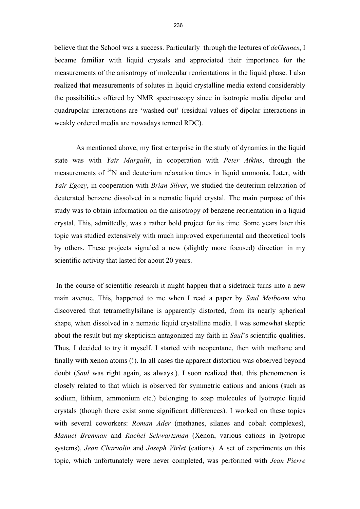believe that the School was a success. Particularly through the lectures of *deGennes*, I became familiar with liquid crystals and appreciated their importance for the measurements of the anisotropy of molecular reorientations in the liquid phase. I also realized that measurements of solutes in liquid crystalline media extend considerably the possibilities offered by NMR spectroscopy since in isotropic media dipolar and quadrupolar interactions are 'washed out' (residual values of dipolar interactions in weakly ordered media are nowadays termed RDC).

 As mentioned above, my first enterprise in the study of dynamics in the liquid state was with *Yair Margalit*, in cooperation with *Peter Atkins*, through the measurements of  $14N$  and deuterium relaxation times in liquid ammonia. Later, with *Yair Egozy*, in cooperation with *Brian Silver*, we studied the deuterium relaxation of deuterated benzene dissolved in a nematic liquid crystal. The main purpose of this study was to obtain information on the anisotropy of benzene reorientation in a liquid crystal. This, admittedly, was a rather bold project for its time. Some years later this topic was studied extensively with much improved experimental and theoretical tools by others. These projects signaled a new (slightly more focused) direction in my scientific activity that lasted for about 20 years.

 In the course of scientific research it might happen that a sidetrack turns into a new main avenue. This, happened to me when I read a paper by *Saul Meiboom* who discovered that tetramethylsilane is apparently distorted, from its nearly spherical shape, when dissolved in a nematic liquid crystalline media. I was somewhat skeptic about the result but my skepticism antagonized my faith in *Saul*'s scientific qualities. Thus, I decided to try it myself. I started with neopentane, then with methane and finally with xenon atoms (!). In all cases the apparent distortion was observed beyond doubt (*Saul* was right again, as always.). I soon realized that, this phenomenon is closely related to that which is observed for symmetric cations and anions (such as sodium, lithium, ammonium etc.) belonging to soap molecules of lyotropic liquid crystals (though there exist some significant differences). I worked on these topics with several coworkers: *Roman Ader* (methanes, silanes and cobalt complexes), *Manuel Brenman* and *Rachel Schwartzman* (Xenon, various cations in lyotropic systems), *Jean Charvolin* and *Joseph Virlet* (cations). A set of experiments on this topic, which unfortunately were never completed, was performed with *Jean Pierre*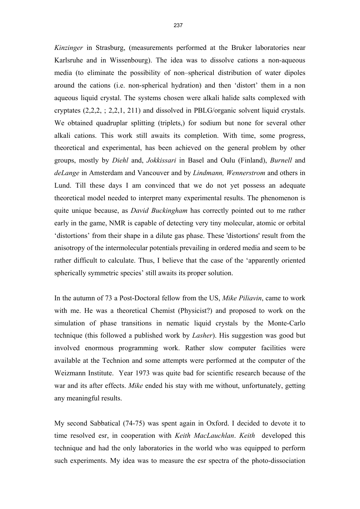*Kinzinger* in Strasburg, (measurements performed at the Bruker laboratories near Karlsruhe and in Wissenbourg). The idea was to dissolve cations a non-aqueous media (to eliminate the possibility of non–spherical distribution of water dipoles around the cations (i.e. non-spherical hydration) and then 'distort' them in a non aqueous liquid crystal. The systems chosen were alkali halide salts complexed with cryptates  $(2,2,2, 2, 2, 1, 211)$  and dissolved in PBLG/organic solvent liquid crystals. We obtained quadruplar splitting (triplets,) for sodium but none for several other alkali cations. This work still awaits its completion. With time, some progress, theoretical and experimental, has been achieved on the general problem by other groups, mostly by *Diehl* and, *Jokkissari* in Basel and Oulu (Finland), *Burnell* and *deLange* in Amsterdam and Vancouver and by *Lindmann, Wennerstrom* and others in Lund. Till these days I am convinced that we do not yet possess an adequate theoretical model needed to interpret many experimental results. The phenomenon is quite unique because, as *David Buckingham* has correctly pointed out to me rather early in the game, NMR is capable of detecting very tiny molecular, atomic or orbital 'distortions' from their shape in a dilute gas phase. These 'distortions' result from the anisotropy of the intermolecular potentials prevailing in ordered media and seem to be rather difficult to calculate. Thus, I believe that the case of the 'apparently oriented spherically symmetric species' still awaits its proper solution.

In the autumn of 73 a Post-Doctoral fellow from the US, *Mike Piliavin*, came to work with me. He was a theoretical Chemist (Physicist?) and proposed to work on the simulation of phase transitions in nematic liquid crystals by the Monte-Carlo technique (this followed a published work by *Lasher*). His suggestion was good but involved enormous programming work. Rather slow computer facilities were available at the Technion and some attempts were performed at the computer of the Weizmann Institute. Year 1973 was quite bad for scientific research because of the war and its after effects. *Mike* ended his stay with me without, unfortunately, getting any meaningful results.

My second Sabbatical (74-75) was spent again in Oxford. I decided to devote it to time resolved esr, in cooperation with *Keith MacLauchlan*. *Keith* developed this technique and had the only laboratories in the world who was equipped to perform such experiments. My idea was to measure the esr spectra of the photo-dissociation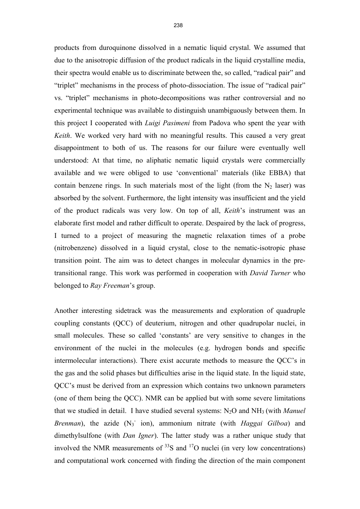products from duroquinone dissolved in a nematic liquid crystal. We assumed that due to the anisotropic diffusion of the product radicals in the liquid crystalline media, their spectra would enable us to discriminate between the, so called, "radical pair" and "triplet" mechanisms in the process of photo-dissociation. The issue of "radical pair" vs. "triplet" mechanisms in photo-decompositions was rather controversial and no experimental technique was available to distinguish unambiguously between them. In this project I cooperated with *Luigi Pasimeni* from Padova who spent the year with *Keith*. We worked very hard with no meaningful results. This caused a very great disappointment to both of us. The reasons for our failure were eventually well understood: At that time, no aliphatic nematic liquid crystals were commercially available and we were obliged to use 'conventional' materials (like EBBA) that contain benzene rings. In such materials most of the light (from the  $N_2$  laser) was absorbed by the solvent. Furthermore, the light intensity was insufficient and the yield of the product radicals was very low. On top of all, *Keith*'s instrument was an elaborate first model and rather difficult to operate. Despaired by the lack of progress, I turned to a project of measuring the magnetic relaxation times of a probe (nitrobenzene) dissolved in a liquid crystal, close to the nematic-isotropic phase transition point. The aim was to detect changes in molecular dynamics in the pretransitional range. This work was performed in cooperation with *David Turner* who belonged to *Ray Freeman*'s group.

Another interesting sidetrack was the measurements and exploration of quadruple coupling constants (QCC) of deuterium, nitrogen and other quadrupolar nuclei, in small molecules. These so called 'constants' are very sensitive to changes in the environment of the nuclei in the molecules (e.g. hydrogen bonds and specific intermolecular interactions). There exist accurate methods to measure the QCC's in the gas and the solid phases but difficulties arise in the liquid state. In the liquid state, QCC's must be derived from an expression which contains two unknown parameters (one of them being the QCC). NMR can be applied but with some severe limitations that we studied in detail. I have studied several systems: N2O and NH3 (with *Manuel*  Brenman), the azide (N<sub>3</sub> ion), ammonium nitrate (with *Haggai Gilboa*) and dimethylsulfone (with *Dan Igner*). The latter study was a rather unique study that involved the NMR measurements of  $33S$  and  $17O$  nuclei (in very low concentrations) and computational work concerned with finding the direction of the main component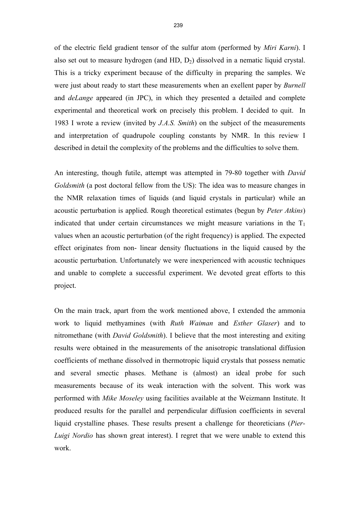of the electric field gradient tensor of the sulfur atom (performed by *Miri Karni*). I also set out to measure hydrogen (and HD, D2) dissolved in a nematic liquid crystal. This is a tricky experiment because of the difficulty in preparing the samples. We were just about ready to start these measurements when an exellent paper by *Burnell* and *deLange* appeared (in JPC), in which they presented a detailed and complete experimental and theoretical work on precisely this problem. I decided to quit. In 1983 I wrote a review (invited by *J.A.S. Smith*) on the subject of the measurements and interpretation of quadrupole coupling constants by NMR. In this review I described in detail the complexity of the problems and the difficulties to solve them.

An interesting, though futile, attempt was attempted in 79-80 together with *David Goldsmith* (a post doctoral fellow from the US): The idea was to measure changes in the NMR relaxation times of liquids (and liquid crystals in particular) while an acoustic perturbation is applied. Rough theoretical estimates (begun by *Peter Atkins*) indicated that under certain circumstances we might measure variations in the  $T_1$ values when an acoustic perturbation (of the right frequency) is applied. The expected effect originates from non- linear density fluctuations in the liquid caused by the acoustic perturbation. Unfortunately we were inexperienced with acoustic techniques and unable to complete a successful experiment. We devoted great efforts to this project.

On the main track, apart from the work mentioned above, I extended the ammonia work to liquid methyamines (with *Ruth Waiman* and *Esther Glaser*) and to nitromethane (with *David Goldsmith*). I believe that the most interesting and exiting results were obtained in the measurements of the anisotropic translational diffusion coefficients of methane dissolved in thermotropic liquid crystals that possess nematic and several smectic phases. Methane is (almost) an ideal probe for such measurements because of its weak interaction with the solvent. This work was performed with *Mike Moseley* using facilities available at the Weizmann Institute. It produced results for the parallel and perpendicular diffusion coefficients in several liquid crystalline phases. These results present a challenge for theoreticians (*Pier-Luigi Nordio* has shown great interest). I regret that we were unable to extend this work.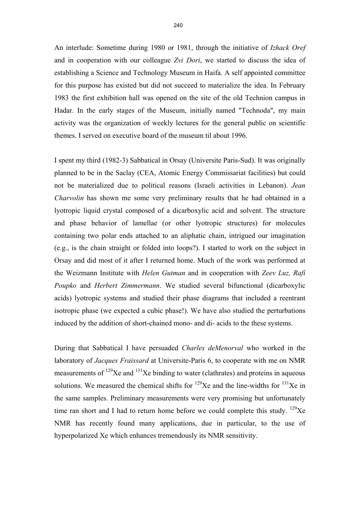An interlude: Sometime during 1980 or 1981, through the initiative of *Izhack Oref* and in cooperation with our colleague *Zvi Dori*, we started to discuss the idea of establishing a Science and Technology Museum in Haifa. A self appointed committee for this purpose has existed but did not succeed to materialize the idea. In February 1983 the first exhibition hall was opened on the site of the old Technion campus in Hadar. In the early stages of the Museum, initially named "Technoda", my main activity was the organization of weekly lectures for the general public on scientific themes. I served on executive board of the museum til about 1996.

I spent my third (1982-3) Sabbatical in Orsay (Universite Paris-Sud). It was originally planned to be in the Saclay (CEA, Atomic Energy Commissariat facilities) but could not be materialized due to political reasons (Israeli activities in Lebanon). *Jean Charvolin* has shown me some very preliminary results that he had obtained in a lyotropic liquid crystal composed of a dicarboxylic acid and solvent. The structure and phase behavior of lamellae (or other lyotropic structures) for molecules containing two polar ends attached to an aliphatic chain, intrigued our imagination (e.g., is the chain straight or folded into loops?). I started to work on the subject in Orsay and did most of it after I returned home. Much of the work was performed at the Weizmann Institute with *Helen Gutman* and in cooperation with *Zeev Luz, Rafi Poupko* and *Herbert Zimmermann*. We studied several bifunctional (dicarboxylic acids) lyotropic systems and studied their phase diagrams that included a reentrant isotropic phase (we expected a cubic phase!). We have also studied the perturbations induced by the addition of short-chained mono- and di- acids to the these systems.

During that Sabbatical I have persuaded *Charles deMenorval* who worked in the laboratory of *Jacques Fraissard* at Universite-Paris 6, to cooperate with me on NMR measurements of  $^{129}$ Xe and  $^{131}$ Xe binding to water (clathrates) and proteins in aqueous solutions. We measured the chemical shifts for  $^{129}Xe$  and the line-widths for  $^{131}Xe$  in the same samples. Preliminary measurements were very promising but unfortunately time ran short and I had to return home before we could complete this study.  $129$ Xe NMR has recently found many applications, due in particular, to the use of hyperpolarized Xe which enhances tremendously its NMR sensitivity.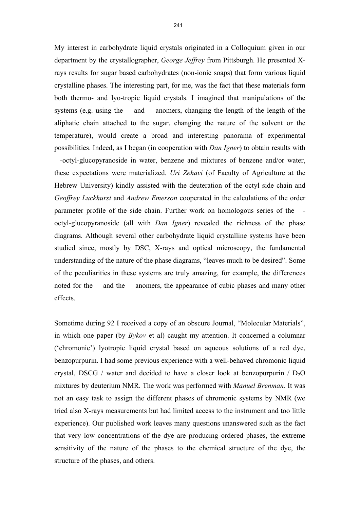My interest in carbohydrate liquid crystals originated in a Colloquium given in our department by the crystallographer, *George Jeffrey* from Pittsburgh. He presented Xrays results for sugar based carbohydrates (non-ionic soaps) that form various liquid crystalline phases. The interesting part, for me, was the fact that these materials form both thermo- and lyo-tropic liquid crystals. I imagined that manipulations of the systems (e.g. using the and anomers, changing the length of the length of the aliphatic chain attached to the sugar, changing the nature of the solvent or the temperature), would create a broad and interesting panorama of experimental possibilities. Indeed, as I began (in cooperation with *Dan Igner*) to obtain results with

-octyl-glucopyranoside in water, benzene and mixtures of benzene and/or water, these expectations were materialized. *Uri Zehavi* (of Faculty of Agriculture at the Hebrew University) kindly assisted with the deuteration of the octyl side chain and *Geoffrey Luckhurst* and *Andrew Emerson* cooperated in the calculations of the order parameter profile of the side chain. Further work on homologous series of the octyl-glucopyranoside (all with *Dan Igner*) revealed the richness of the phase diagrams. Although several other carbohydrate liquid crystalline systems have been studied since, mostly by DSC, X-rays and optical microscopy, the fundamental understanding of the nature of the phase diagrams, "leaves much to be desired". Some of the peculiarities in these systems are truly amazing, for example, the differences noted for the and the anomers, the appearance of cubic phases and many other effects.

Sometime during 92 I received a copy of an obscure Journal, "Molecular Materials", in which one paper (by *Bykov* et al) caught my attention. It concerned a columnar ('chromonic') lyotropic liquid crystal based on aqueous solutions of a red dye, benzopurpurin. I had some previous experience with a well-behaved chromonic liquid crystal, DSCG / water and decided to have a closer look at benzopurpurin /  $D_2O$ mixtures by deuterium NMR. The work was performed with *Manuel Brenman*. It was not an easy task to assign the different phases of chromonic systems by NMR (we tried also X-rays measurements but had limited access to the instrument and too little experience). Our published work leaves many questions unanswered such as the fact that very low concentrations of the dye are producing ordered phases, the extreme sensitivity of the nature of the phases to the chemical structure of the dye, the structure of the phases, and others.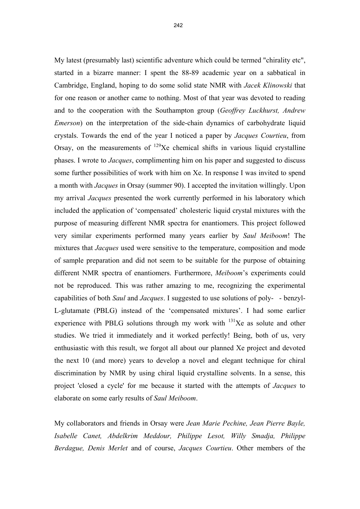My latest (presumably last) scientific adventure which could be termed "chirality etc", started in a bizarre manner: I spent the 88-89 academic year on a sabbatical in Cambridge, England, hoping to do some solid state NMR with *Jacek Klinowski* that for one reason or another came to nothing. Most of that year was devoted to reading and to the cooperation with the Southampton group (*Geoffrey Luckhurst, Andrew Emerson*) on the interpretation of the side-chain dynamics of carbohydrate liquid crystals. Towards the end of the year I noticed a paper by *Jacques Courtieu*, from Orsay, on the measurements of  $129Xe$  chemical shifts in various liquid crystalline phases. I wrote to *Jacques*, complimenting him on his paper and suggested to discuss some further possibilities of work with him on Xe. In response I was invited to spend a month with *Jacques* in Orsay (summer 90). I accepted the invitation willingly. Upon my arrival *Jacques* presented the work currently performed in his laboratory which included the application of 'compensated' cholesteric liquid crystal mixtures with the purpose of measuring different NMR spectra for enantiomers. This project followed very similar experiments performed many years earlier by *Saul Meiboom*! The mixtures that *Jacques* used were sensitive to the temperature, composition and mode of sample preparation and did not seem to be suitable for the purpose of obtaining different NMR spectra of enantiomers. Furthermore, *Meiboom*'s experiments could not be reproduced. This was rather amazing to me, recognizing the experimental capabilities of both *Saul* and *Jacques*. I suggested to use solutions of poly-- benzyl-L-glutamate (PBLG) instead of the 'compensated mixtures'. I had some earlier experience with PBLG solutions through my work with  $^{131}Xe$  as solute and other studies. We tried it immediately and it worked perfectly! Being, both of us, very enthusiastic with this result, we forgot all about our planned Xe project and devoted the next 10 (and more) years to develop a novel and elegant technique for chiral discrimination by NMR by using chiral liquid crystalline solvents. In a sense, this project 'closed a cycle' for me because it started with the attempts of *Jacques* to elaborate on some early results of *Saul Meiboom*.

My collaborators and friends in Orsay were *Jean Marie Pechine, Jean Pierre Bayle, Isabelle Canet, Abdelkrim Meddour, Philippe Lesot, Willy Smadja, Philippe Berdague, Denis Merlet* and of course, *Jacques Courtieu*. Other members of the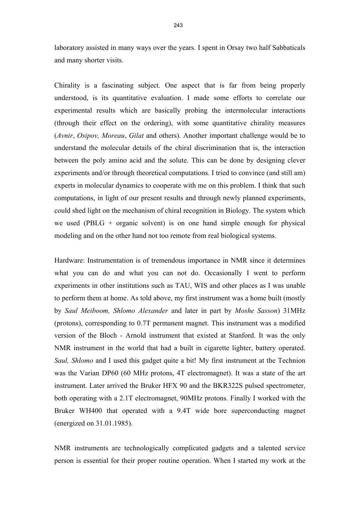laboratory assisted in many ways over the years. I spent in Orsay two half Sabbaticals and many shorter visits.

Chirality is a fascinating subject. One aspect that is far from being properly understood, is its quantitative evaluation. I made some efforts to correlate our experimental results which are basically probing the intermolecular interactions (through their effect on the ordering), with some quantitative chirality measures (*Avnir*, *Osipov, Moreau*, *Gilat* and others). Another important challenge would be to understand the molecular details of the chiral discrimination that is, the interaction between the poly amino acid and the solute. This can be done by designing clever experiments and/or through theoretical computations. I tried to convince (and still am) experts in molecular dynamics to cooperate with me on this problem. I think that such computations, in light of our present results and through newly planned experiments, could shed light on the mechanism of chiral recognition in Biology. The system which we used (PBLG + organic solvent) is on one hand simple enough for physical modeling and on the other hand not too remote from real biological systems.

Hardware: Instrumentation is of tremendous importance in NMR since it determines what you can do and what you can not do. Occasionally I went to perform experiments in other institutions such as TAU, WIS and other places as I was unable to perform them at home. As told above, my first instrument was a home built (mostly by *Saul Meiboom, Shlomo Alexander* and later in part by *Moshe Sasson*) 31MHz (protons), corresponding to 0.7T permanent magnet. This instrument was a modified version of the Bloch - Arnold instrument that existed at Stanford. It was the only NMR instrument in the world that had a built in cigarette lighter, battery operated. *Saul, Shlomo* and I used this gadget quite a bit! My first instrument at the Technion was the Varian DP60 (60 MHz protons, 4T electromagnet). It was a state of the art instrument. Later arrived the Bruker HFX 90 and the BKR322S pulsed spectrometer, both operating with a 2.1T electromagnet, 90MHz protons. Finally I worked with the Bruker WH400 that operated with a 9.4T wide bore superconducting magnet (energized on 31.01.1985).

NMR instruments are technologically complicated gadgets and a talented service person is essential for their proper routine operation. When I started my work at the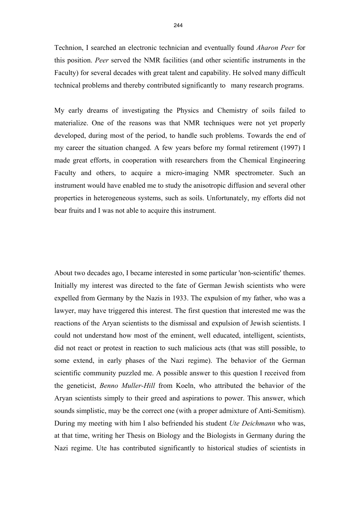Technion, I searched an electronic technician and eventually found *Aharon Peer* for this position. *Peer* served the NMR facilities (and other scientific instruments in the Faculty) for several decades with great talent and capability. He solved many difficult technical problems and thereby contributed significantly to many research programs.

My early dreams of investigating the Physics and Chemistry of soils failed to materialize. One of the reasons was that NMR techniques were not yet properly developed, during most of the period, to handle such problems. Towards the end of my career the situation changed. A few years before my formal retirement (1997) I made great efforts, in cooperation with researchers from the Chemical Engineering Faculty and others, to acquire a micro-imaging NMR spectrometer. Such an instrument would have enabled me to study the anisotropic diffusion and several other properties in heterogeneous systems, such as soils. Unfortunately, my efforts did not bear fruits and I was not able to acquire this instrument.

About two decades ago, I became interested in some particular 'non-scientific' themes. Initially my interest was directed to the fate of German Jewish scientists who were expelled from Germany by the Nazis in 1933. The expulsion of my father, who was a lawyer, may have triggered this interest. The first question that interested me was the reactions of the Aryan scientists to the dismissal and expulsion of Jewish scientists. I could not understand how most of the eminent, well educated, intelligent, scientists, did not react or protest in reaction to such malicious acts (that was still possible, to some extend, in early phases of the Nazi regime). The behavior of the German scientific community puzzled me. A possible answer to this question I received from the geneticist, *Benno Muller-Hill* from Koeln, who attributed the behavior of the Aryan scientists simply to their greed and aspirations to power. This answer, which sounds simplistic, may be the correct one (with a proper admixture of Anti-Semitism). During my meeting with him I also befriended his student *Ute Deichmann* who was, at that time, writing her Thesis on Biology and the Biologists in Germany during the Nazi regime. Ute has contributed significantly to historical studies of scientists in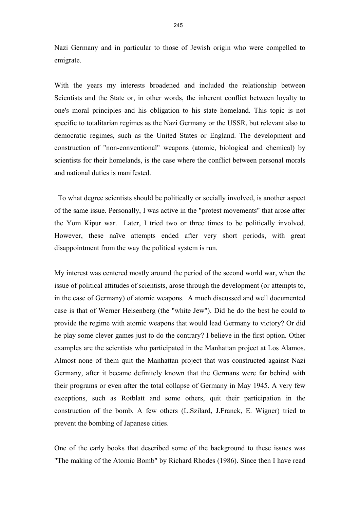Nazi Germany and in particular to those of Jewish origin who were compelled to emigrate.

With the years my interests broadened and included the relationship between Scientists and the State or, in other words, the inherent conflict between loyalty to one's moral principles and his obligation to his state homeland. This topic is not specific to totalitarian regimes as the Nazi Germany or the USSR, but relevant also to democratic regimes, such as the United States or England. The development and construction of "non-conventional" weapons (atomic, biological and chemical) by scientists for their homelands, is the case where the conflict between personal morals and national duties is manifested.

 To what degree scientists should be politically or socially involved, is another aspect of the same issue. Personally, I was active in the "protest movements" that arose after the Yom Kipur war. Later, I tried two or three times to be politically involved. However, these naïve attempts ended after very short periods, with great disappointment from the way the political system is run.

My interest was centered mostly around the period of the second world war, when the issue of political attitudes of scientists, arose through the development (or attempts to, in the case of Germany) of atomic weapons. A much discussed and well documented case is that of Werner Heisenberg (the "white Jew"). Did he do the best he could to provide the regime with atomic weapons that would lead Germany to victory? Or did he play some clever games just to do the contrary? I believe in the first option. Other examples are the scientists who participated in the Manhattan project at Los Alamos. Almost none of them quit the Manhattan project that was constructed against Nazi Germany, after it became definitely known that the Germans were far behind with their programs or even after the total collapse of Germany in May 1945. A very few exceptions, such as Rotblatt and some others, quit their participation in the construction of the bomb. A few others (L.Szilard, J.Franck, E. Wigner) tried to prevent the bombing of Japanese cities.

One of the early books that described some of the background to these issues was "The making of the Atomic Bomb" by Richard Rhodes (1986). Since then I have read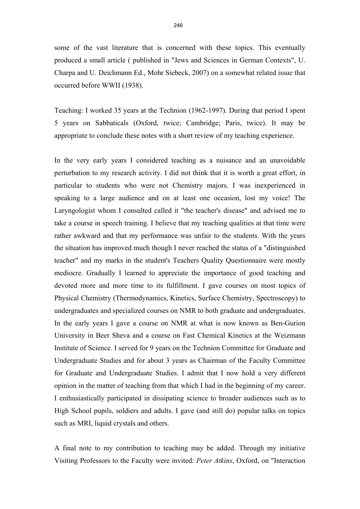some of the vast literature that is concerned with these topics. This eventually produced a small article ( published in "Jews and Sciences in German Contexts", U. Charpa and U. Deichmann Ed., Mohr Siebeck, 2007) on a somewhat related issue that occurred before WWII (1938).

Teaching: I worked 35 years at the Technion (1962-1997). During that period I spent 5 years on Sabbaticals (Oxford, twice; Cambridge; Paris, twice). It may be appropriate to conclude these notes with a short review of my teaching experience.

In the very early years I considered teaching as a nuisance and an unavoidable perturbation to my research activity. I did not think that it is worth a great effort, in particular to students who were not Chemistry majors. I was inexperienced in speaking to a large audience and on at least one occasion, lost my voice! The Laryngologist whom I consulted called it "the teacher's disease" and advised me to take a course in speech training. I believe that my teaching qualities at that time were rather awkward and that my performance was unfair to the students. With the years the situation has improved much though I never reached the status of a "distinguished teacher" and my marks in the student's Teachers Quality Questionnaire were mostly mediocre. Gradually I learned to appreciate the importance of good teaching and devoted more and more time to its fulfillment. I gave courses on most topics of Physical Chemistry (Thermodynamics, Kinetics, Surface Chemistry, Spectroscopy) to undergraduates and specialized courses on NMR to both graduate and undergraduates. In the early years I gave a course on NMR at what is now known as Ben-Gurion University in Beer Sheva and a course on Fast Chemical Kinetics at the Weizmann Institute of Science. I served for 9 years on the Technion Committee for Graduate and Undergraduate Studies and for about 3 years as Chairman of the Faculty Committee for Graduate and Undergraduate Studies. I admit that I now hold a very different opinion in the matter of teaching from that which I had in the beginning of my career. I enthusiastically participated in dissipating science to broader audiences such as to High School pupils, soldiers and adults. I gave (and still do) popular talks on topics such as MRI, liquid crystals and others.

A final note to my contribution to teaching may be added. Through my initiative Visiting Professors to the Faculty were invited: *Peter Atkins*, Oxford, on "Interaction